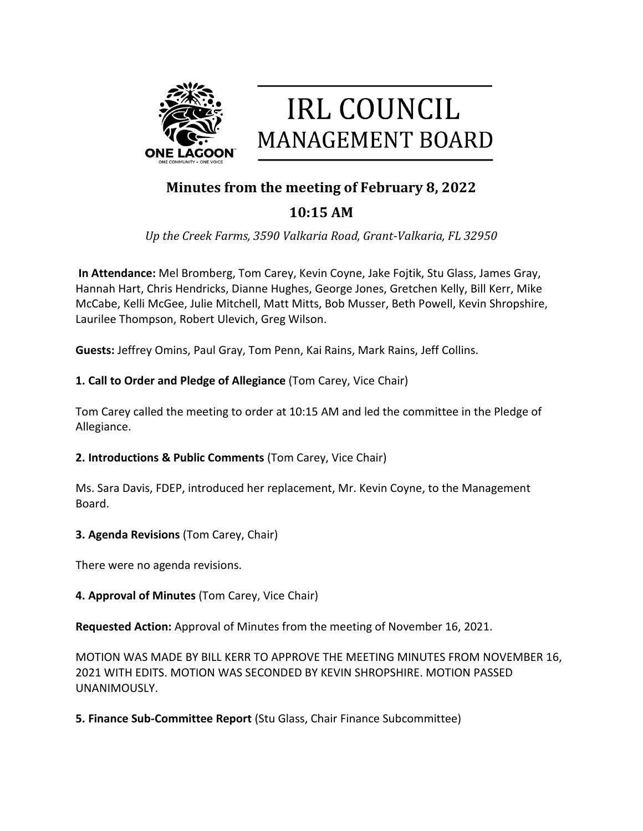

# **IRL COUNCIL MANAGEMENT BOARD**

# **Minutes from the meeting of February 8, 2022**

# **10:15 AM**

*Up the Creek Farms, 3590 Valkaria Road, Grant-Valkaria, FL 32950*

**In Attendance:** Mel Bromberg, Tom Carey, Kevin Coyne, Jake Fojtik, Stu Glass, James Gray, Hannah Hart, Chris Hendricks, Dianne Hughes, George Jones, Gretchen Kelly, Bill Kerr, Mike McCabe, Kelli McGee, Julie Mitchell, Matt Mitts, Bob Musser, Beth Powell, Kevin Shropshire, Laurilee Thompson, Robert Ulevich, Greg Wilson.

**Guests:** Jeffrey Omins, Paul Gray, Tom Penn, Kai Rains, Mark Rains, Jeff Collins.

## **1. Call to Order and Pledge of Allegiance** (Tom Carey, Vice Chair)

Tom Carey called the meeting to order at 10:15 AM and led the committee in the Pledge of Allegiance.

**2. Introductions & Public Comments** (Tom Carey, Vice Chair)

Ms. Sara Davis, FDEP, introduced her replacement, Mr. Kevin Coyne, to the Management Board.

**3. Agenda Revisions** (Tom Carey, Chair)

There were no agenda revisions.

## **4. Approval of Minutes** (Tom Carey, Vice Chair)

**Requested Action:** Approval of Minutes from the meeting of November 16, 2021.

MOTION WAS MADE BY BILL KERR TO APPROVE THE MEETING MINUTES FROM NOVEMBER 16, 2021 WITH EDITS. MOTION WAS SECONDED BY KEVIN SHROPSHIRE. MOTION PASSED UNANIMOUSLY.

**5. Finance Sub-Committee Report** (Stu Glass, Chair Finance Subcommittee)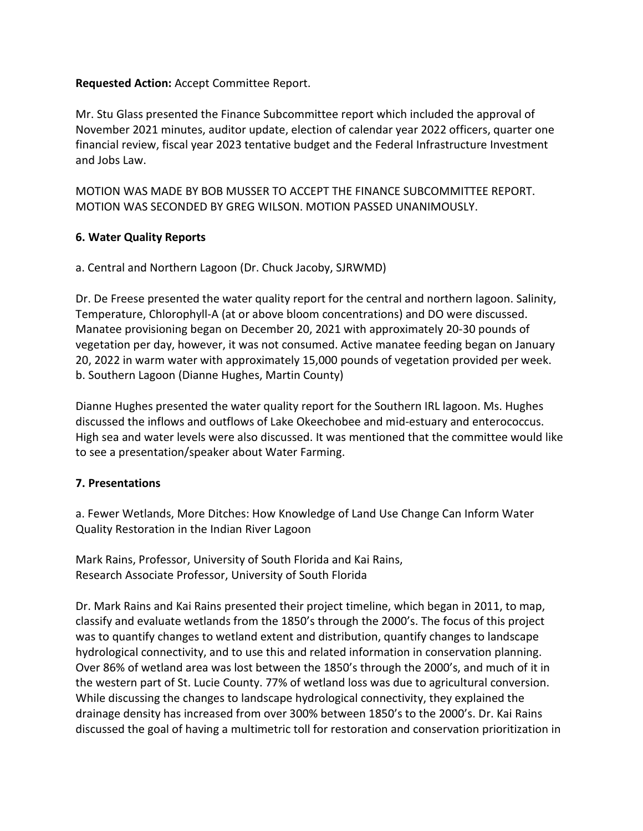#### **Requested Action:** Accept Committee Report.

Mr. Stu Glass presented the Finance Subcommittee report which included the approval of November 2021 minutes, auditor update, election of calendar year 2022 officers, quarter one financial review, fiscal year 2023 tentative budget and the Federal Infrastructure Investment and Jobs Law.

MOTION WAS MADE BY BOB MUSSER TO ACCEPT THE FINANCE SUBCOMMITTEE REPORT. MOTION WAS SECONDED BY GREG WILSON. MOTION PASSED UNANIMOUSLY.

#### **6. Water Quality Reports**

a. Central and Northern Lagoon (Dr. Chuck Jacoby, SJRWMD)

Dr. De Freese presented the water quality report for the central and northern lagoon. Salinity, Temperature, Chlorophyll-A (at or above bloom concentrations) and DO were discussed. Manatee provisioning began on December 20, 2021 with approximately 20-30 pounds of vegetation per day, however, it was not consumed. Active manatee feeding began on January 20, 2022 in warm water with approximately 15,000 pounds of vegetation provided per week. b. Southern Lagoon (Dianne Hughes, Martin County)

Dianne Hughes presented the water quality report for the Southern IRL lagoon. Ms. Hughes discussed the inflows and outflows of Lake Okeechobee and mid-estuary and enterococcus. High sea and water levels were also discussed. It was mentioned that the committee would like to see a presentation/speaker about Water Farming.

#### **7. Presentations**

a. Fewer Wetlands, More Ditches: How Knowledge of Land Use Change Can Inform Water Quality Restoration in the Indian River Lagoon

Mark Rains, Professor, University of South Florida and Kai Rains, Research Associate Professor, University of South Florida

Dr. Mark Rains and Kai Rains presented their project timeline, which began in 2011, to map, classify and evaluate wetlands from the 1850's through the 2000's. The focus of this project was to quantify changes to wetland extent and distribution, quantify changes to landscape hydrological connectivity, and to use this and related information in conservation planning. Over 86% of wetland area was lost between the 1850's through the 2000's, and much of it in the western part of St. Lucie County. 77% of wetland loss was due to agricultural conversion. While discussing the changes to landscape hydrological connectivity, they explained the drainage density has increased from over 300% between 1850's to the 2000's. Dr. Kai Rains discussed the goal of having a multimetric toll for restoration and conservation prioritization in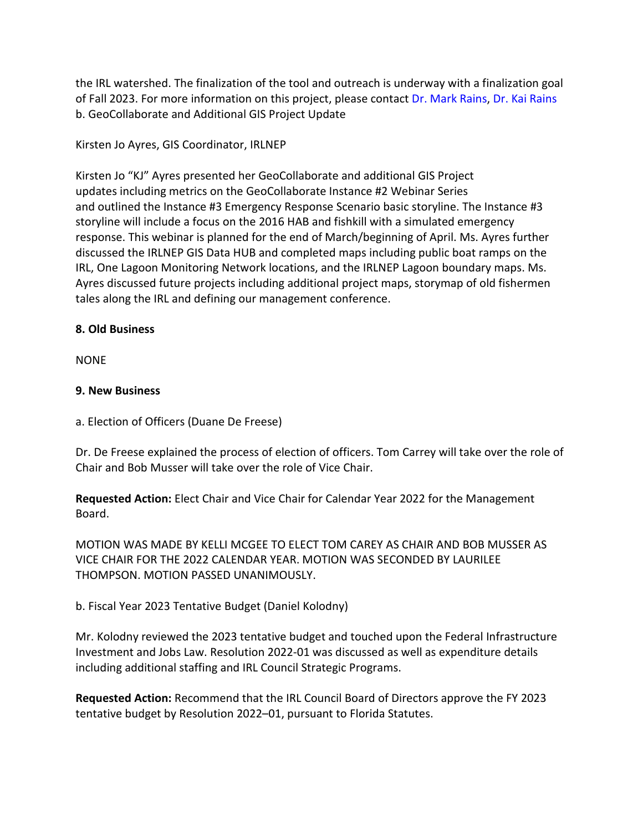the IRL watershed. The finalization of the tool and outreach is underway with a finalization goal of Fall 2023. For more information on this project, please contact Dr. Mark Rains, Dr. Kai Rains b. GeoCollaborate and Additional GIS Project Update

#### Kirsten Jo Ayres, GIS Coordinator, IRLNEP

Kirsten Jo "KJ" Ayres presented her GeoCollaborate and additional GIS Project updates including metrics on the GeoCollaborate Instance #2 Webinar Series and outlined the Instance #3 Emergency Response Scenario basic storyline. The Instance #3 storyline will include a focus on the 2016 HAB and fishkill with a simulated emergency response. This webinar is planned for the end of March/beginning of April. Ms. Ayres further discussed the IRLNEP GIS Data HUB and completed maps including public boat ramps on the IRL, One Lagoon Monitoring Network locations, and the IRLNEP Lagoon boundary maps. Ms. Ayres discussed future projects including additional project maps, storymap of old fishermen tales along the IRL and defining our management conference.

#### **8. Old Business**

NONE

#### **9. New Business**

a. Election of Officers (Duane De Freese)

Dr. De Freese explained the process of election of officers. Tom Carrey will take over the role of Chair and Bob Musser will take over the role of Vice Chair.

**Requested Action:** Elect Chair and Vice Chair for Calendar Year 2022 for the Management Board.

MOTION WAS MADE BY KELLI MCGEE TO ELECT TOM CAREY AS CHAIR AND BOB MUSSER AS VICE CHAIR FOR THE 2022 CALENDAR YEAR. MOTION WAS SECONDED BY LAURILEE THOMPSON. MOTION PASSED UNANIMOUSLY.

b. Fiscal Year 2023 Tentative Budget (Daniel Kolodny)

Mr. Kolodny reviewed the 2023 tentative budget and touched upon the Federal Infrastructure Investment and Jobs Law. Resolution 2022-01 was discussed as well as expenditure details including additional staffing and IRL Council Strategic Programs.

**Requested Action:** Recommend that the IRL Council Board of Directors approve the FY 2023 tentative budget by Resolution 2022–01, pursuant to Florida Statutes.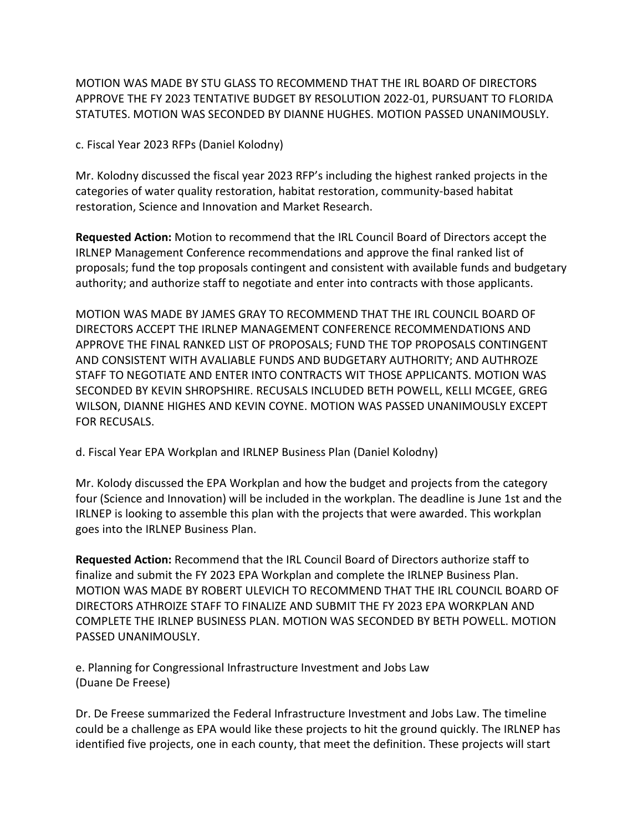MOTION WAS MADE BY STU GLASS TO RECOMMEND THAT THE IRL BOARD OF DIRECTORS APPROVE THE FY 2023 TENTATIVE BUDGET BY RESOLUTION 2022-01, PURSUANT TO FLORIDA STATUTES. MOTION WAS SECONDED BY DIANNE HUGHES. MOTION PASSED UNANIMOUSLY.

c. Fiscal Year 2023 RFPs (Daniel Kolodny)

Mr. Kolodny discussed the fiscal year 2023 RFP's including the highest ranked projects in the categories of water quality restoration, habitat restoration, community-based habitat restoration, Science and Innovation and Market Research.

**Requested Action:** Motion to recommend that the IRL Council Board of Directors accept the IRLNEP Management Conference recommendations and approve the final ranked list of proposals; fund the top proposals contingent and consistent with available funds and budgetary authority; and authorize staff to negotiate and enter into contracts with those applicants.

MOTION WAS MADE BY JAMES GRAY TO RECOMMEND THAT THE IRL COUNCIL BOARD OF DIRECTORS ACCEPT THE IRLNEP MANAGEMENT CONFERENCE RECOMMENDATIONS AND APPROVE THE FINAL RANKED LIST OF PROPOSALS; FUND THE TOP PROPOSALS CONTINGENT AND CONSISTENT WITH AVALIABLE FUNDS AND BUDGETARY AUTHORITY; AND AUTHROZE STAFF TO NEGOTIATE AND ENTER INTO CONTRACTS WIT THOSE APPLICANTS. MOTION WAS SECONDED BY KEVIN SHROPSHIRE. RECUSALS INCLUDED BETH POWELL, KELLI MCGEE, GREG WILSON, DIANNE HIGHES AND KEVIN COYNE. MOTION WAS PASSED UNANIMOUSLY EXCEPT FOR RECUSALS.

d. Fiscal Year EPA Workplan and IRLNEP Business Plan (Daniel Kolodny)

Mr. Kolody discussed the EPA Workplan and how the budget and projects from the category four (Science and Innovation) will be included in the workplan. The deadline is June 1st and the IRLNEP is looking to assemble this plan with the projects that were awarded. This workplan goes into the IRLNEP Business Plan.

**Requested Action:** Recommend that the IRL Council Board of Directors authorize staff to finalize and submit the FY 2023 EPA Workplan and complete the IRLNEP Business Plan. MOTION WAS MADE BY ROBERT ULEVICH TO RECOMMEND THAT THE IRL COUNCIL BOARD OF DIRECTORS ATHROIZE STAFF TO FINALIZE AND SUBMIT THE FY 2023 EPA WORKPLAN AND COMPLETE THE IRLNEP BUSINESS PLAN. MOTION WAS SECONDED BY BETH POWELL. MOTION PASSED UNANIMOUSLY.

e. Planning for Congressional Infrastructure Investment and Jobs Law (Duane De Freese)

Dr. De Freese summarized the Federal Infrastructure Investment and Jobs Law. The timeline could be a challenge as EPA would like these projects to hit the ground quickly. The IRLNEP has identified five projects, one in each county, that meet the definition. These projects will start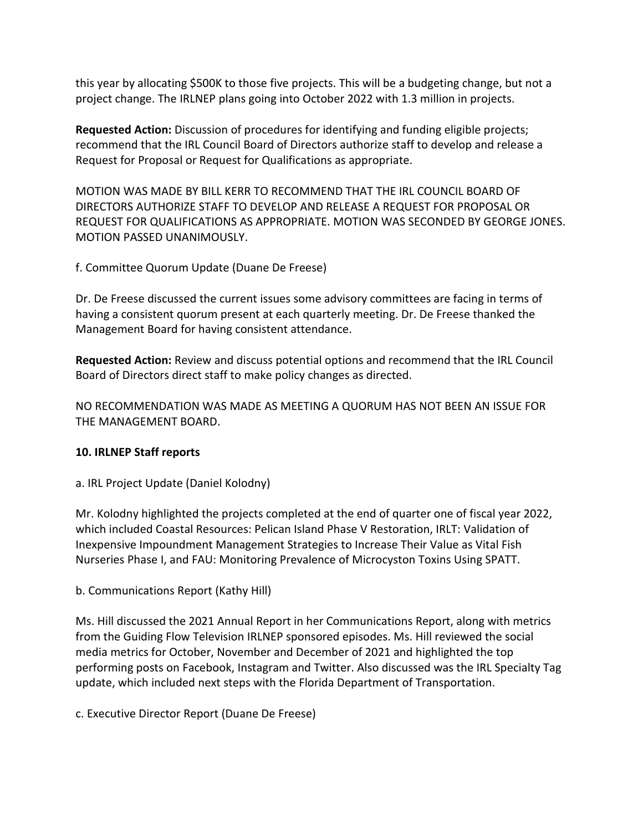this year by allocating \$500K to those five projects. This will be a budgeting change, but not a project change. The IRLNEP plans going into October 2022 with 1.3 million in projects.

**Requested Action:** Discussion of procedures for identifying and funding eligible projects; recommend that the IRL Council Board of Directors authorize staff to develop and release a Request for Proposal or Request for Qualifications as appropriate.

MOTION WAS MADE BY BILL KERR TO RECOMMEND THAT THE IRL COUNCIL BOARD OF DIRECTORS AUTHORIZE STAFF TO DEVELOP AND RELEASE A REQUEST FOR PROPOSAL OR REQUEST FOR QUALIFICATIONS AS APPROPRIATE. MOTION WAS SECONDED BY GEORGE JONES. MOTION PASSED UNANIMOUSLY.

f. Committee Quorum Update (Duane De Freese)

Dr. De Freese discussed the current issues some advisory committees are facing in terms of having a consistent quorum present at each quarterly meeting. Dr. De Freese thanked the Management Board for having consistent attendance.

**Requested Action:** Review and discuss potential options and recommend that the IRL Council Board of Directors direct staff to make policy changes as directed.

NO RECOMMENDATION WAS MADE AS MEETING A QUORUM HAS NOT BEEN AN ISSUE FOR THE MANAGEMENT BOARD.

#### **10. IRLNEP Staff reports**

a. IRL Project Update (Daniel Kolodny)

Mr. Kolodny highlighted the projects completed at the end of quarter one of fiscal year 2022, which included Coastal Resources: Pelican Island Phase V Restoration, IRLT: Validation of Inexpensive Impoundment Management Strategies to Increase Their Value as Vital Fish Nurseries Phase I, and FAU: Monitoring Prevalence of Microcyston Toxins Using SPATT.

b. Communications Report (Kathy Hill)

Ms. Hill discussed the 2021 Annual Report in her Communications Report, along with metrics from the Guiding Flow Television IRLNEP sponsored episodes. Ms. Hill reviewed the social media metrics for October, November and December of 2021 and highlighted the top performing posts on Facebook, Instagram and Twitter. Also discussed was the IRL Specialty Tag update, which included next steps with the Florida Department of Transportation.

c. Executive Director Report (Duane De Freese)